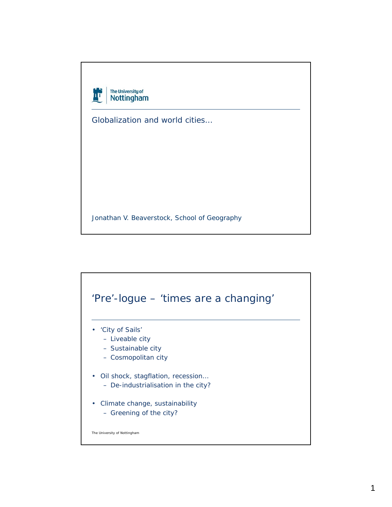

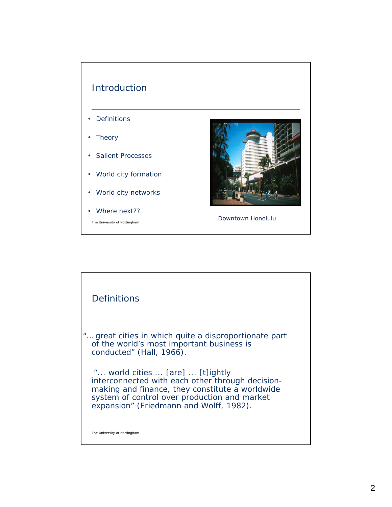

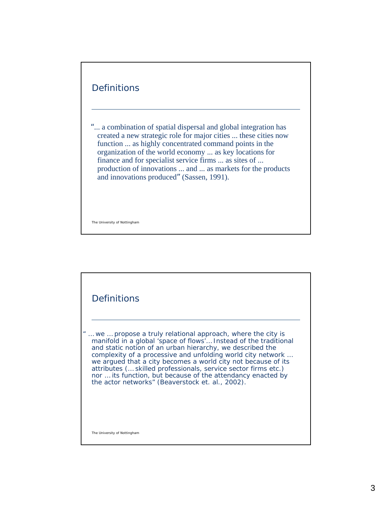## **Definitions**

"... a combination of spatial dispersal and global integration has created a new strategic role for major cities ... these cities now function ... as highly concentrated command points in the organization of the world economy ... as key locations for finance and for specialist service firms ... as sites of ... production of innovations ... and ... as markets for the products and innovations produced" (Sassen, 1991).

The University of Nottingham

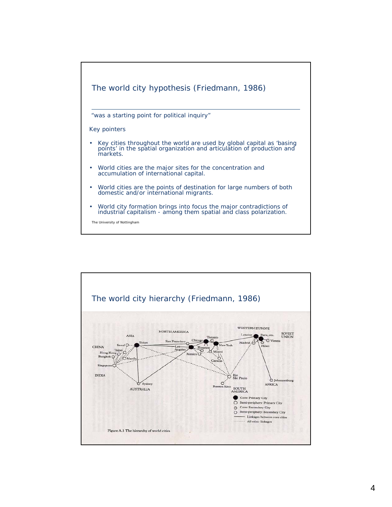

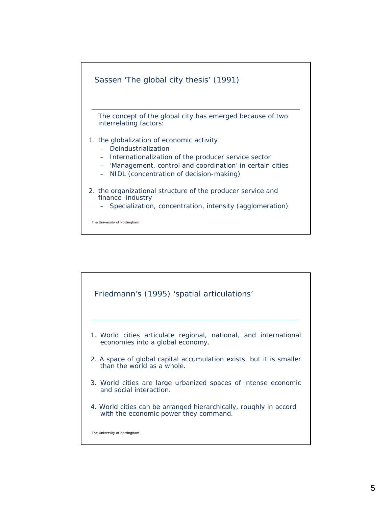

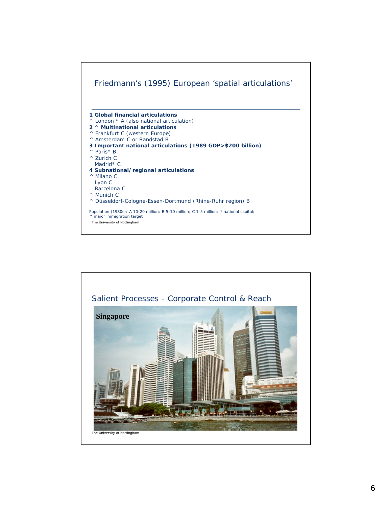

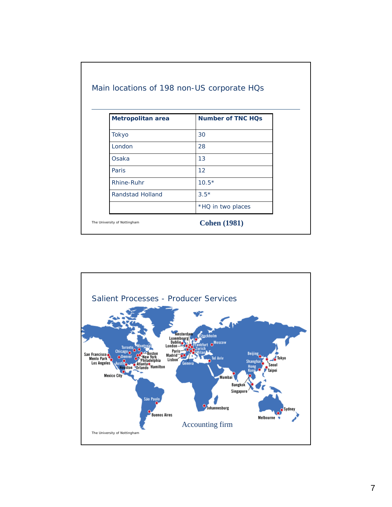| <b>Metropolitan area</b> | <b>Number of TNC HQs</b> |
|--------------------------|--------------------------|
| Tokyo                    | 30                       |
| London                   | 28                       |
| Osaka                    | 13                       |
| Paris                    | 12                       |
| Rhine-Ruhr               | $10.5*$                  |
| Randstad Holland         | $3.5*$                   |
|                          | *HQ in two places        |

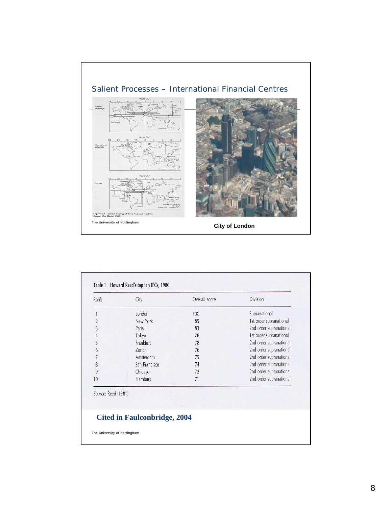

| Rank           | City           | Overall score | Division                |
|----------------|----------------|---------------|-------------------------|
|                | London         | 100           | Supranational           |
| $\overline{2}$ | New York       | 85            | 1st order supranational |
| 3              | Paris          | 83            | 2nd order supranational |
| $\overline{4}$ | Tokyo          | 78            | 1st order supranational |
| 5              | Frankfurt      | 78            | 2nd order supranational |
| 6              | Zurich         | 76            | 2nd order supranational |
| 7              | Amsterdam      | 75            | 2nd order supranational |
| 8              | San Francisco  | 74            | 2nd order supranational |
| 9              | Chicago        | 72            | 2nd order supranational |
| 10             | <b>Hamburg</b> | 71            | 2nd order supranational |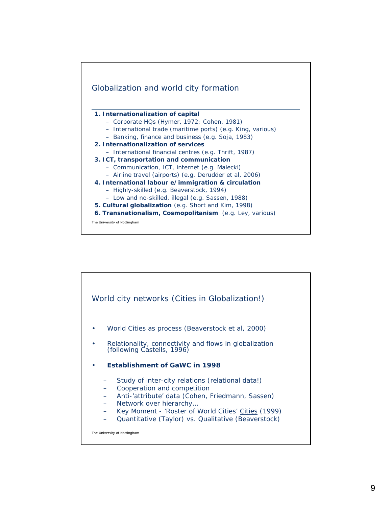

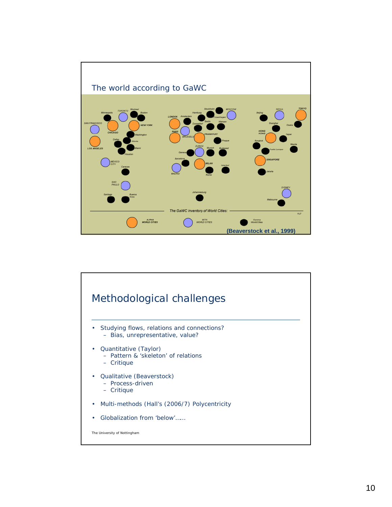